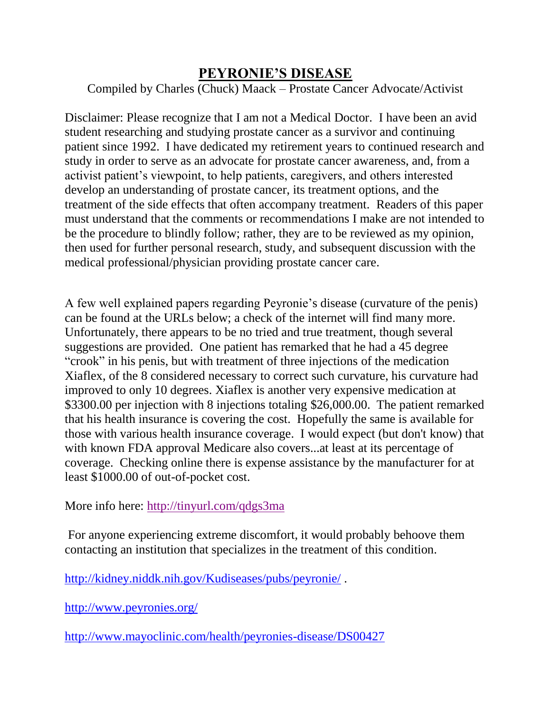## **PEYRONIE'S DISEASE**

Compiled by Charles (Chuck) Maack – Prostate Cancer Advocate/Activist

Disclaimer: Please recognize that I am not a Medical Doctor. I have been an avid student researching and studying prostate cancer as a survivor and continuing patient since 1992. I have dedicated my retirement years to continued research and study in order to serve as an advocate for prostate cancer awareness, and, from a activist patient's viewpoint, to help patients, caregivers, and others interested develop an understanding of prostate cancer, its treatment options, and the treatment of the side effects that often accompany treatment. Readers of this paper must understand that the comments or recommendations I make are not intended to be the procedure to blindly follow; rather, they are to be reviewed as my opinion, then used for further personal research, study, and subsequent discussion with the medical professional/physician providing prostate cancer care.

A few well explained papers regarding Peyronie's disease (curvature of the penis) can be found at the URLs below; a check of the internet will find many more. Unfortunately, there appears to be no tried and true treatment, though several suggestions are provided. One patient has remarked that he had a 45 degree "crook" in his penis, but with treatment of three injections of the medication Xiaflex, of the 8 considered necessary to correct such curvature, his curvature had improved to only 10 degrees. Xiaflex is another very expensive medication at \$3300.00 per injection with 8 injections totaling \$26,000.00. The patient remarked that his health insurance is covering the cost. Hopefully the same is available for those with various health insurance coverage. I would expect (but don't know) that with known FDA approval Medicare also covers...at least at its percentage of coverage. Checking online there is expense assistance by the manufacturer for at least \$1000.00 of out-of-pocket cost.

More info here:<http://tinyurl.com/qdgs3ma>

For anyone experiencing extreme discomfort, it would probably behoove them contacting an institution that specializes in the treatment of this condition.

<http://kidney.niddk.nih.gov/Kudiseases/pubs/peyronie/> .

<http://www.peyronies.org/>

<http://www.mayoclinic.com/health/peyronies-disease/DS00427>